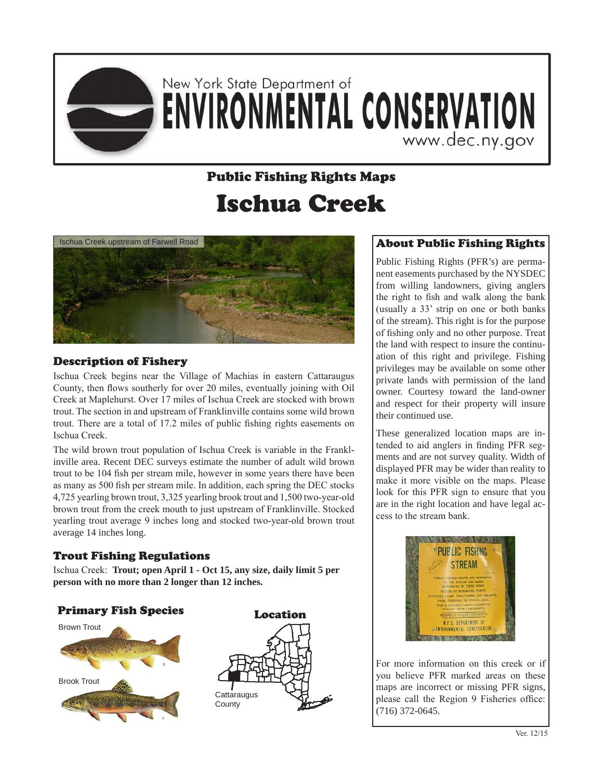

# New York State Department of **ENVIRONMENTAL CONSERVATION** www.dec.ny.gov

## Public Fishing Rights Maps Ischua Creek



#### Description of Fishery

Ischua Creek begins near the Village of Machias in eastern Cattaraugus County, then flows southerly for over 20 miles, eventually joining with Oil Creek at Maplehurst. Over 17 miles of Ischua Creek are stocked with brown trout. The section in and upstream of Franklinville contains some wild brown trout. There are a total of 17.2 miles of public fishing rights easements on Ischua Creek.

The wild brown trout population of Ischua Creek is variable in the Franklinville area. Recent DEC surveys estimate the number of adult wild brown trout to be 104 fish per stream mile, however in some years there have been as many as 500 fish per stream mile. In addition, each spring the DEC stocks 4,725 yearling brown trout, 3,325 yearling brook trout and 1,500 two-year-old brown trout from the creek mouth to just upstream of Franklinville. Stocked yearling trout average 9 inches long and stocked two-year-old brown trout average 14 inches long.

#### Trout Fishing Regulations

Ischua Creek: **Trout; open April 1 - Oct 15, any size, daily limit 5 per person with no more than 2 longer than 12 inches.**

#### Primary Fish Species





### About Public Fishing Rights

Public Fishing Rights (PFR's) are permanent easements purchased by the NYSDEC from willing landowners, giving anglers the right to fish and walk along the bank (usually a 33' strip on one or both banks of the stream). This right is for the purpose of fishing only and no other purpose. Treat the land with respect to insure the continuation of this right and privilege. Fishing privileges may be available on some other private lands with permission of the land owner. Courtesy toward the land-owner and respect for their property will insure their continued use.

These generalized location maps are intended to aid anglers in finding PFR segments and are not survey quality. Width of displayed PFR may be wider than reality to make it more visible on the maps. Please look for this PFR sign to ensure that you are in the right location and have legal access to the stream bank.



For more information on this creek or if you believe PFR marked areas on these maps are incorrect or missing PFR signs, please call the Region 9 Fisheries office: (716) 372-0645.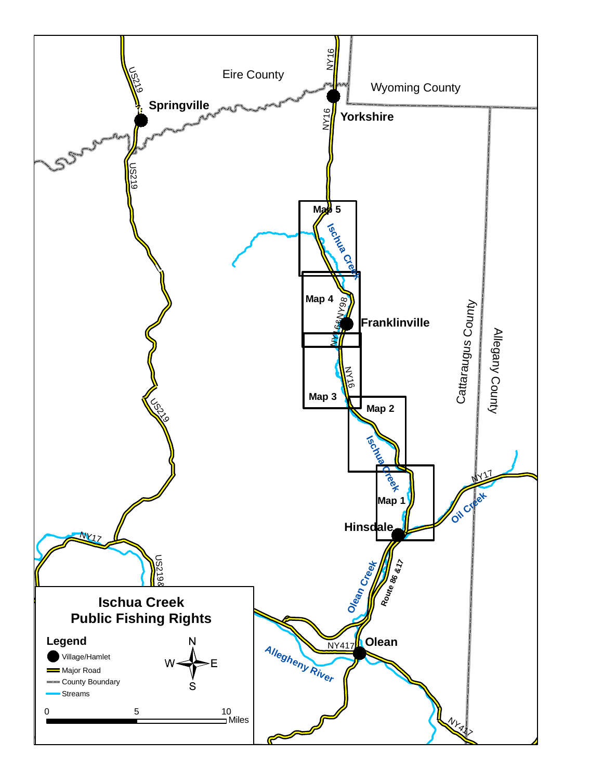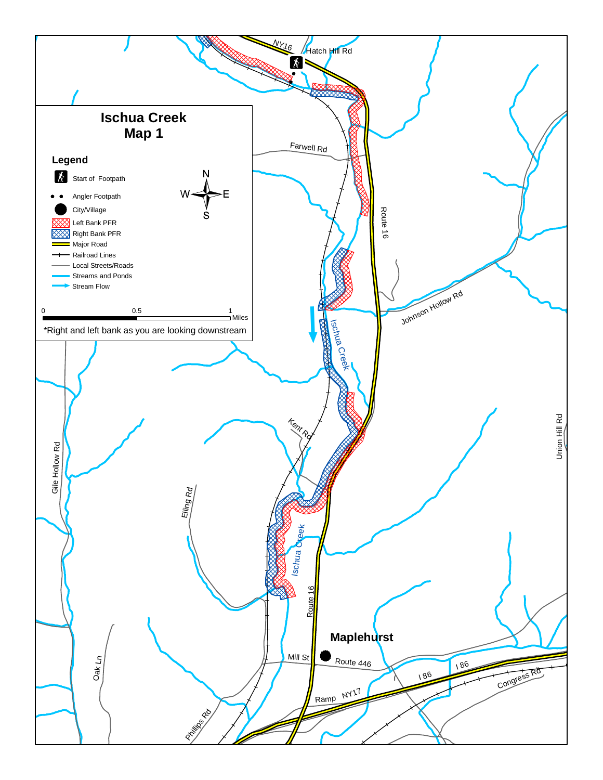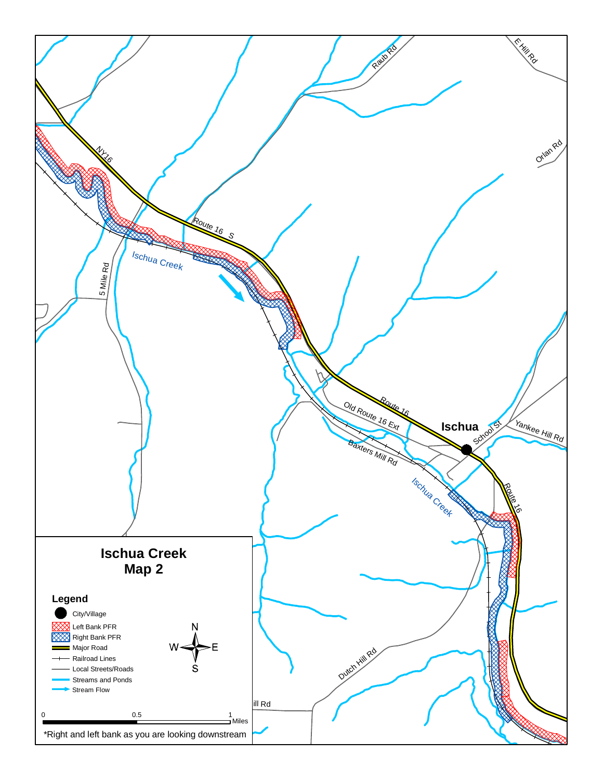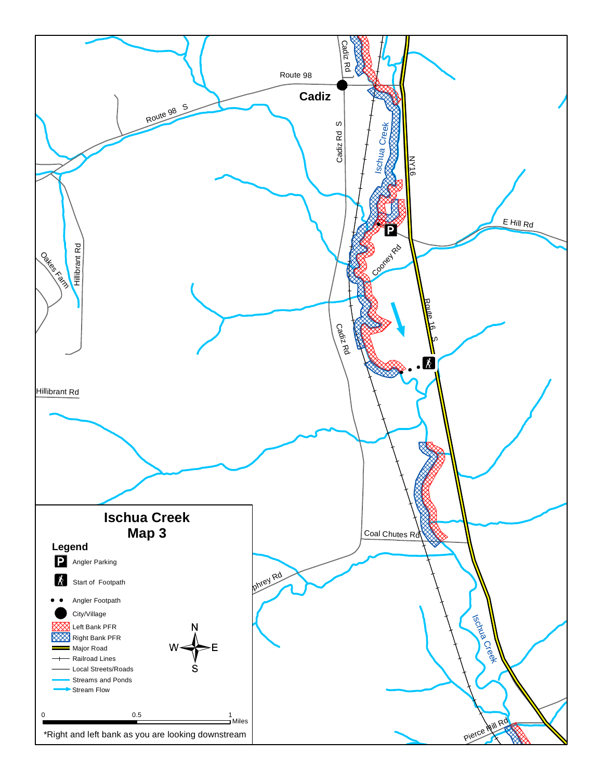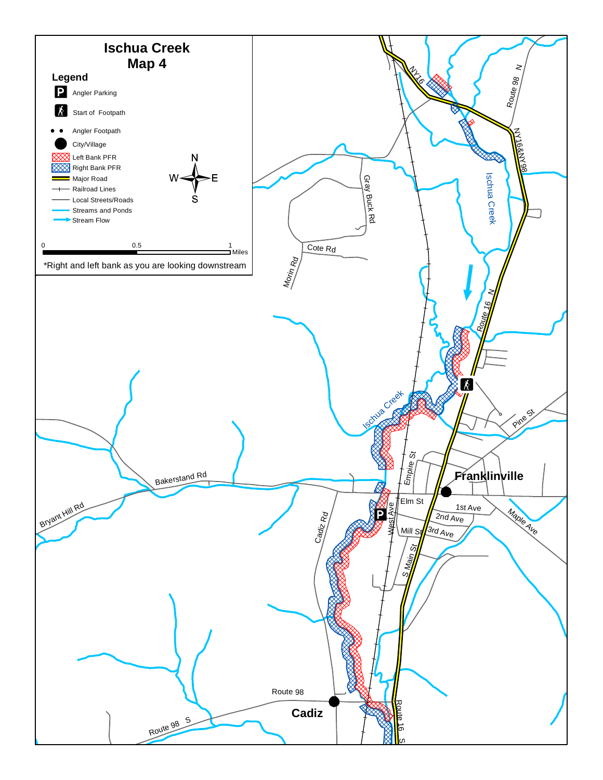